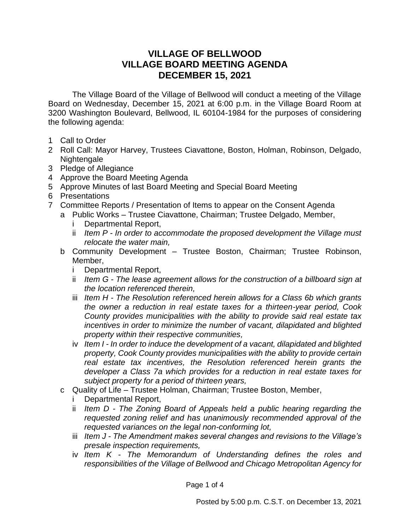## **VILLAGE OF BELLWOOD VILLAGE BOARD MEETING AGENDA DECEMBER 15, 2021**

The Village Board of the Village of Bellwood will conduct a meeting of the Village Board on Wednesday, December 15, 2021 at 6:00 p.m. in the Village Board Room at 3200 Washington Boulevard, Bellwood, IL 60104-1984 for the purposes of considering the following agenda:

- 1 Call to Order
- 2 Roll Call: Mayor Harvey, Trustees Ciavattone, Boston, Holman, Robinson, Delgado, Nightengale
- 3 Pledge of Allegiance
- 4 Approve the Board Meeting Agenda
- 5 Approve Minutes of last Board Meeting and Special Board Meeting
- 6 Presentations
- 7 Committee Reports / Presentation of Items to appear on the Consent Agenda
	- a Public Works Trustee Ciavattone, Chairman; Trustee Delgado, Member,
		- i Departmental Report,
		- ii *Item P - In order to accommodate the proposed development the Village must relocate the water main,*
		- b Community Development Trustee Boston, Chairman; Trustee Robinson, Member,
			- i Departmental Report,
			- ii *Item G - The lease agreement allows for the construction of a billboard sign at the location referenced therein,*
			- iii *Item H - The Resolution referenced herein allows for a Class 6b which grants the owner a reduction in real estate taxes for a thirteen-year period, Cook County provides municipalities with the ability to provide said real estate tax incentives in order to minimize the number of vacant, dilapidated and blighted property within their respective communities,*
			- iv *Item I - In order to induce the development of a vacant, dilapidated and blighted property, Cook County provides municipalities with the ability to provide certain real estate tax incentives, the Resolution referenced herein grants the developer a Class 7a which provides for a reduction in real estate taxes for subject property for a period of thirteen years,*
		- c Quality of Life Trustee Holman, Chairman; Trustee Boston, Member,
			- i Departmental Report,
			- ii *Item D - The Zoning Board of Appeals held a public hearing regarding the requested zoning relief and has unanimously recommended approval of the requested variances on the legal non-conforming lot,*
			- iii *Item J - The Amendment makes several changes and revisions to the Village's presale inspection requirements,*
			- iv *Item K - The Memorandum of Understanding defines the roles and responsibilities of the Village of Bellwood and Chicago Metropolitan Agency for*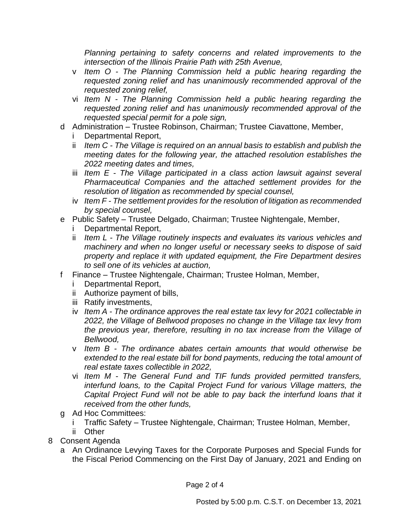*Planning pertaining to safety concerns and related improvements to the intersection of the Illinois Prairie Path with 25th Avenue,*

- v *Item O - The Planning Commission held a public hearing regarding the requested zoning relief and has unanimously recommended approval of the requested zoning relief,*
- vi *Item N - The Planning Commission held a public hearing regarding the requested zoning relief and has unanimously recommended approval of the requested special permit for a pole sign,*
- d Administration Trustee Robinson, Chairman; Trustee Ciavattone, Member,
	- Departmental Report,
	- ii *Item C - The Village is required on an annual basis to establish and publish the meeting dates for the following year, the attached resolution establishes the 2022 meeting dates and times,*
	- iii *Item E - The Village participated in a class action lawsuit against several Pharmaceutical Companies and the attached settlement provides for the resolution of litigation as recommended by special counsel,*
	- iv *Item F - The settlement provides for the resolution of litigation as recommended by special counsel,*
- e Public Safety Trustee Delgado, Chairman; Trustee Nightengale, Member,
	- Departmental Report,
	- ii *Item L - The Village routinely inspects and evaluates its various vehicles and machinery and when no longer useful or necessary seeks to dispose of said property and replace it with updated equipment, the Fire Department desires to sell one of its vehicles at auction,*
- f Finance Trustee Nightengale, Chairman; Trustee Holman, Member,
	- i Departmental Report,
	- ii Authorize payment of bills,
	- iii Ratify investments,
	- iv *Item A - The ordinance approves the real estate tax levy for 2021 collectable in 2022, the Village of Bellwood proposes no change in the Village tax levy from the previous year, therefore, resulting in no tax increase from the Village of Bellwood,*
	- v *Item B - The ordinance abates certain amounts that would otherwise be extended to the real estate bill for bond payments, reducing the total amount of real estate taxes collectible in 2022,*
	- vi *Item M - The General Fund and TIF funds provided permitted transfers, interfund loans, to the Capital Project Fund for various Village matters, the Capital Project Fund will not be able to pay back the interfund loans that it received from the other funds,*
- g Ad Hoc Committees:
	- i Traffic Safety Trustee Nightengale, Chairman; Trustee Holman, Member,
	- ii Other
- 8 Consent Agenda
	- a An Ordinance Levying Taxes for the Corporate Purposes and Special Funds for the Fiscal Period Commencing on the First Day of January, 2021 and Ending on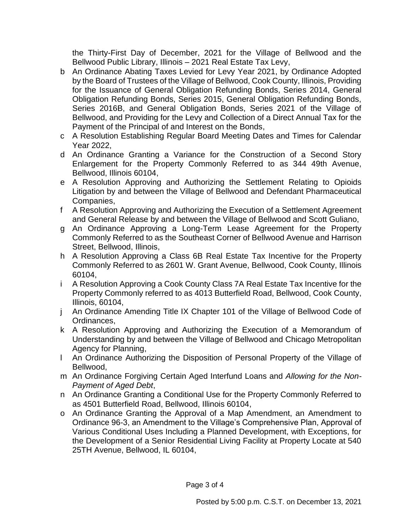the Thirty-First Day of December, 2021 for the Village of Bellwood and the Bellwood Public Library, Illinois – 2021 Real Estate Tax Levy,

- b An Ordinance Abating Taxes Levied for Levy Year 2021, by Ordinance Adopted by the Board of Trustees of the Village of Bellwood, Cook County, Illinois, Providing for the Issuance of General Obligation Refunding Bonds, Series 2014, General Obligation Refunding Bonds, Series 2015, General Obligation Refunding Bonds, Series 2016B, and General Obligation Bonds, Series 2021 of the Village of Bellwood, and Providing for the Levy and Collection of a Direct Annual Tax for the Payment of the Principal of and Interest on the Bonds,
- c A Resolution Establishing Regular Board Meeting Dates and Times for Calendar Year 2022,
- d An Ordinance Granting a Variance for the Construction of a Second Story Enlargement for the Property Commonly Referred to as 344 49th Avenue, Bellwood, Illinois 60104,
- e A Resolution Approving and Authorizing the Settlement Relating to Opioids Litigation by and between the Village of Bellwood and Defendant Pharmaceutical Companies,
- f A Resolution Approving and Authorizing the Execution of a Settlement Agreement and General Release by and between the Village of Bellwood and Scott Guliano,
- g An Ordinance Approving a Long-Term Lease Agreement for the Property Commonly Referred to as the Southeast Corner of Bellwood Avenue and Harrison Street, Bellwood, Illinois,
- h A Resolution Approving a Class 6B Real Estate Tax Incentive for the Property Commonly Referred to as 2601 W. Grant Avenue, Bellwood, Cook County, Illinois 60104,
- i A Resolution Approving a Cook County Class 7A Real Estate Tax Incentive for the Property Commonly referred to as 4013 Butterfield Road, Bellwood, Cook County, Illinois, 60104,
- j An Ordinance Amending Title IX Chapter 101 of the Village of Bellwood Code of Ordinances,
- k A Resolution Approving and Authorizing the Execution of a Memorandum of Understanding by and between the Village of Bellwood and Chicago Metropolitan Agency for Planning,
- l An Ordinance Authorizing the Disposition of Personal Property of the Village of Bellwood,
- m An Ordinance Forgiving Certain Aged Interfund Loans and *Allowing for the Non-Payment of Aged Debt*,
- n An Ordinance Granting a Conditional Use for the Property Commonly Referred to as 4501 Butterfield Road, Bellwood, Illinois 60104,
- o An Ordinance Granting the Approval of a Map Amendment, an Amendment to Ordinance 96-3, an Amendment to the Village's Comprehensive Plan, Approval of Various Conditional Uses Including a Planned Development, with Exceptions, for the Development of a Senior Residential Living Facility at Property Locate at 540 25TH Avenue, Bellwood, IL 60104,